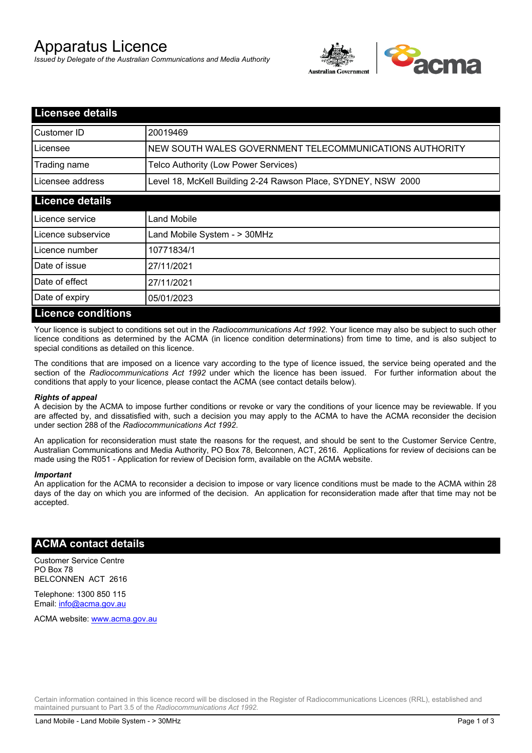# Apparatus Licence

*Issued by Delegate of the Australian Communications and Media Authority*



| <b>Licensee details</b>   |                                                               |  |  |
|---------------------------|---------------------------------------------------------------|--|--|
| Customer ID               | 20019469                                                      |  |  |
| Licensee                  | NEW SOUTH WALES GOVERNMENT TELECOMMUNICATIONS AUTHORITY       |  |  |
| Trading name              | Telco Authority (Low Power Services)                          |  |  |
| Licensee address          | Level 18, McKell Building 2-24 Rawson Place, SYDNEY, NSW 2000 |  |  |
| <b>Licence details</b>    |                                                               |  |  |
| l Licence service         | Land Mobile                                                   |  |  |
| Licence subservice        | Land Mobile System - > 30MHz                                  |  |  |
| Licence number            | 10771834/1                                                    |  |  |
| Date of issue             | 27/11/2021                                                    |  |  |
| Date of effect            | 27/11/2021                                                    |  |  |
| Date of expiry            | 05/01/2023                                                    |  |  |
| <b>Licence conditions</b> |                                                               |  |  |

Your licence is subject to conditions set out in the *Radiocommunications Act 1992*. Your licence may also be subject to such other licence conditions as determined by the ACMA (in licence condition determinations) from time to time, and is also subject to special conditions as detailed on this licence.

The conditions that are imposed on a licence vary according to the type of licence issued, the service being operated and the section of the *Radiocommunications Act 1992* under which the licence has been issued. For further information about the conditions that apply to your licence, please contact the ACMA (see contact details below).

#### *Rights of appeal*

A decision by the ACMA to impose further conditions or revoke or vary the conditions of your licence may be reviewable. If you are affected by, and dissatisfied with, such a decision you may apply to the ACMA to have the ACMA reconsider the decision under section 288 of the *Radiocommunications Act 1992*.

An application for reconsideration must state the reasons for the request, and should be sent to the Customer Service Centre, Australian Communications and Media Authority, PO Box 78, Belconnen, ACT, 2616. Applications for review of decisions can be made using the R051 - Application for review of Decision form, available on the ACMA website.

#### *Important*

An application for the ACMA to reconsider a decision to impose or vary licence conditions must be made to the ACMA within 28 days of the day on which you are informed of the decision. An application for reconsideration made after that time may not be accepted.

### **ACMA contact details**

Customer Service Centre PO Box 78 BELCONNEN ACT 2616

Telephone: 1300 850 115 Email: info@acma.gov.au

ACMA website: www.acma.gov.au

Certain information contained in this licence record will be disclosed in the Register of Radiocommunications Licences (RRL), established and maintained pursuant to Part 3.5 of the *Radiocommunications Act 1992.*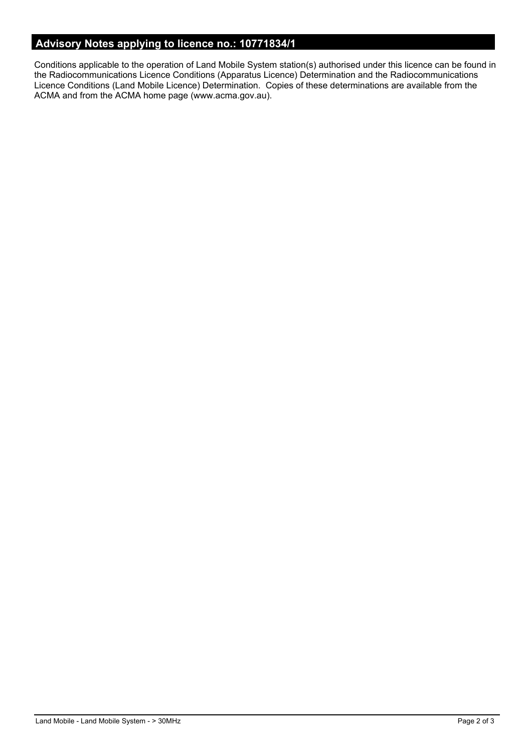# **Advisory Notes applying to licence no.: 10771834/1**

Conditions applicable to the operation of Land Mobile System station(s) authorised under this licence can be found in the Radiocommunications Licence Conditions (Apparatus Licence) Determination and the Radiocommunications Licence Conditions (Land Mobile Licence) Determination. Copies of these determinations are available from the ACMA and from the ACMA home page (www.acma.gov.au).